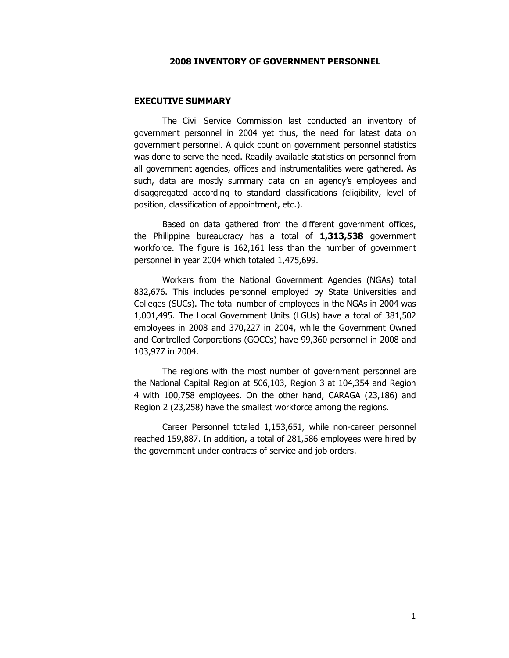#### 2008 INVENTORY OF GOVERNMENT PERSONNEL

#### EXECUTIVE SUMMARY

The Civil Service Commission last conducted an inventory of government personnel in 2004 yet thus, the need for latest data on government personnel. A quick count on government personnel statistics was done to serve the need. Readily available statistics on personnel from all government agencies, offices and instrumentalities were gathered. As such, data are mostly summary data on an agency's employees and disaggregated according to standard classifications (eligibility, level of position, classification of appointment, etc.).

 Based on data gathered from the different government offices, the Philippine bureaucracy has a total of  $1,313,538$  government workforce. The figure is 162,161 less than the number of government personnel in year 2004 which totaled 1,475,699.

Workers from the National Government Agencies (NGAs) total 832,676. This includes personnel employed by State Universities and Colleges (SUCs). The total number of employees in the NGAs in 2004 was 1,001,495. The Local Government Units (LGUs) have a total of 381,502 employees in 2008 and 370,227 in 2004, while the Government Owned and Controlled Corporations (GOCCs) have 99,360 personnel in 2008 and 103,977 in 2004.

 The regions with the most number of government personnel are the National Capital Region at 506,103, Region 3 at 104,354 and Region 4 with 100,758 employees. On the other hand, CARAGA (23,186) and Region 2 (23,258) have the smallest workforce among the regions.

 Career Personnel totaled 1,153,651, while non-career personnel reached 159,887. In addition, a total of 281,586 employees were hired by the government under contracts of service and job orders.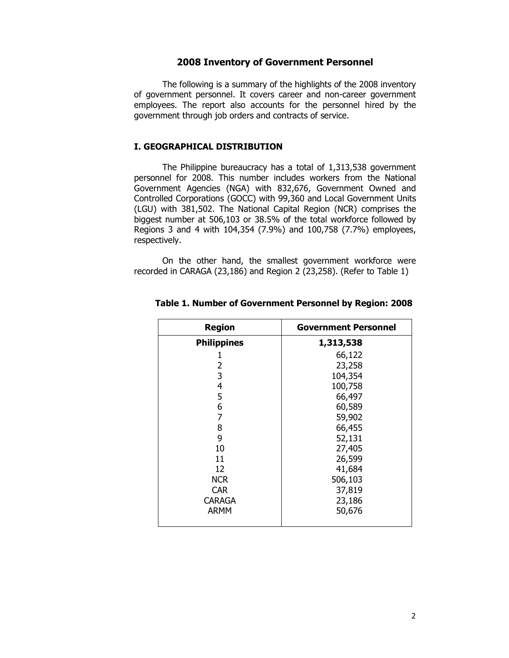### 2008 Inventory of Government Personnel

The following is a summary of the highlights of the 2008 inventory of government personnel. It covers career and non-career government employees. The report also accounts for the personnel hired by the government through job orders and contracts of service.

## I. GEOGRAPHICAL DISTRIBUTION

The Philippine bureaucracy has a total of 1,313,538 government personnel for 2008. This number includes workers from the National Government Agencies (NGA) with 832,676, Government Owned and Controlled Corporations (GOCC) with 99,360 and Local Government Units (LGU) with 381,502. The National Capital Region (NCR) comprises the biggest number at 506,103 or 38.5% of the total workforce followed by Regions 3 and 4 with 104,354 (7.9%) and 100,758 (7.7%) employees, respectively.

On the other hand, the smallest government workforce were recorded in CARAGA (23,186) and Region 2 (23,258). (Refer to Table 1)

| <b>Region</b>      | <b>Government Personnel</b> |
|--------------------|-----------------------------|
| <b>Philippines</b> | 1,313,538                   |
|                    | 66,122                      |
| 2                  | 23,258                      |
| 3                  | 104,354                     |
| 4                  | 100,758                     |
| 5                  | 66,497                      |
| 6                  | 60,589                      |
| 7                  | 59,902                      |
| 8                  | 66,455                      |
| 9                  | 52,131                      |
| 10                 | 27,405                      |
| 11                 | 26,599                      |
| 12                 | 41,684                      |
| <b>NCR</b>         | 506,103                     |
| <b>CAR</b>         | 37,819                      |
| <b>CARAGA</b>      | 23,186                      |
| <b>ARMM</b>        | 50,676                      |
|                    |                             |

#### Table 1. Number of Government Personnel by Region: 2008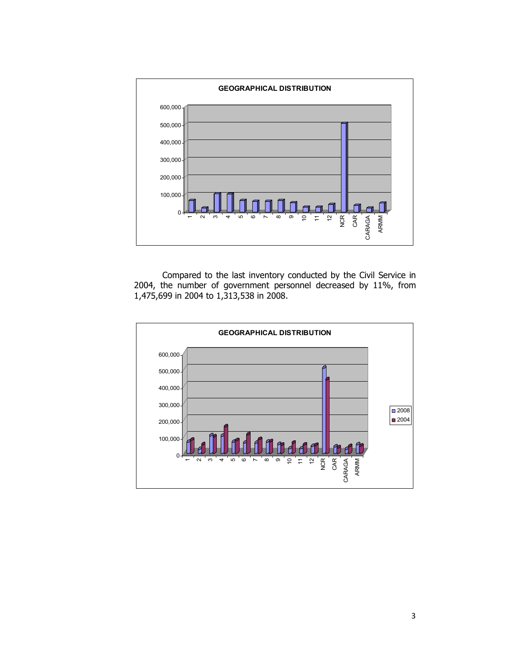

Compared to the last inventory conducted by the Civil Service in 2004, the number of government personnel decreased by 11%, from 1,475,699 in 2004 to 1,313,538 in 2008.

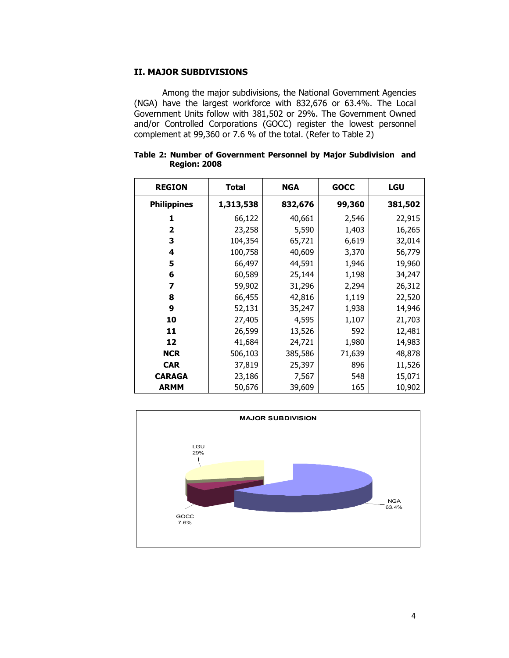### II. MAJOR SUBDIVISIONS

Among the major subdivisions, the National Government Agencies (NGA) have the largest workforce with 832,676 or 63.4%. The Local Government Units follow with 381,502 or 29%. The Government Owned and/or Controlled Corporations (GOCC) register the lowest personnel complement at 99,360 or 7.6 % of the total. (Refer to Table 2)

| <b>REGION</b>      | Total     | <b>NGA</b> | <b>GOCC</b> | <b>LGU</b> |
|--------------------|-----------|------------|-------------|------------|
| <b>Philippines</b> | 1,313,538 | 832,676    | 99,360      | 381,502    |
| 1                  | 66,122    | 40,661     | 2,546       | 22,915     |
| $\overline{2}$     | 23,258    | 5,590      | 1,403       | 16,265     |
| 3                  | 104,354   | 65,721     | 6,619       | 32,014     |
| 4                  | 100,758   | 40,609     | 3,370       | 56,779     |
| 5                  | 66,497    | 44,591     | 1,946       | 19,960     |
| 6                  | 60,589    | 25,144     | 1,198       | 34,247     |
| 7                  | 59,902    | 31,296     | 2,294       | 26,312     |
| 8                  | 66,455    | 42,816     | 1,119       | 22,520     |
| 9                  | 52,131    | 35,247     | 1,938       | 14,946     |
| 10                 | 27,405    | 4,595      | 1,107       | 21,703     |
| 11                 | 26,599    | 13,526     | 592         | 12,481     |
| 12                 | 41,684    | 24,721     | 1,980       | 14,983     |
| <b>NCR</b>         | 506,103   | 385,586    | 71,639      | 48,878     |
| <b>CAR</b>         | 37,819    | 25,397     | 896         | 11,526     |
| <b>CARAGA</b>      | 23,186    | 7,567      | 548         | 15,071     |
| <b>ARMM</b>        | 50,676    | 39,609     | 165         | 10,902     |

Table 2: Number of Government Personnel by Major Subdivision and Region: 2008

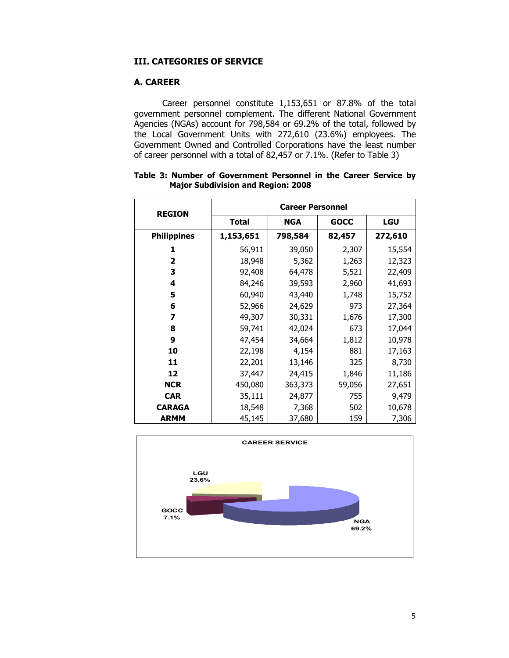## III. CATEGORIES OF SERVICE

## A. CAREER

Career personnel constitute 1,153,651 or 87.8% of the total government personnel complement. The different National Government Agencies (NGAs) account for 798,584 or 69.2% of the total, followed by the Local Government Units with 272,610 (23.6%) employees. The Government Owned and Controlled Corporations have the least number of career personnel with a total of 82,457 or 7.1%. (Refer to Table 3)

| <b>REGION</b>           | <b>Career Personnel</b> |            |             |            |  |  |  |  |
|-------------------------|-------------------------|------------|-------------|------------|--|--|--|--|
|                         | Total                   | <b>NGA</b> | <b>GOCC</b> | <b>LGU</b> |  |  |  |  |
| <b>Philippines</b>      | 1,153,651               | 798,584    | 82,457      | 272,610    |  |  |  |  |
| 1                       | 56,911                  | 39,050     | 2,307       | 15,554     |  |  |  |  |
| $\overline{\mathbf{2}}$ | 18,948                  | 5,362      | 1,263       | 12,323     |  |  |  |  |
| 3                       | 92,408                  | 64,478     | 5,521       | 22,409     |  |  |  |  |
| 4                       | 84,246                  | 39,593     | 2,960       | 41,693     |  |  |  |  |
| 5                       | 60,940                  | 43,440     | 1,748       | 15,752     |  |  |  |  |
| 6                       | 52,966                  | 24,629     | 973         | 27,364     |  |  |  |  |
| 7                       | 49,307                  | 30,331     | 1,676       | 17,300     |  |  |  |  |
| 8                       | 59,741                  | 42,024     | 673         | 17,044     |  |  |  |  |
| 9                       | 47,454                  | 34,664     | 1,812       | 10,978     |  |  |  |  |
| 10                      | 22,198                  | 4,154      | 881         | 17,163     |  |  |  |  |
| 11                      | 22,201                  | 13,146     | 325         | 8,730      |  |  |  |  |
| 12                      | 37,447                  | 24,415     | 1,846       | 11,186     |  |  |  |  |
| <b>NCR</b>              | 450,080                 | 363,373    | 59,056      | 27,651     |  |  |  |  |
| <b>CAR</b>              | 35,111                  | 24,877     | 755         | 9,479      |  |  |  |  |
| <b>CARAGA</b>           | 18,548                  | 7,368      | 502         | 10,678     |  |  |  |  |
| <b>ARMM</b>             | 45,145                  | 37,680     | 159         | 7,306      |  |  |  |  |

|  |  | Table 3: Number of Government Personnel in the Career Service by |  |  |  |
|--|--|------------------------------------------------------------------|--|--|--|
|  |  | <b>Major Subdivision and Region: 2008</b>                        |  |  |  |

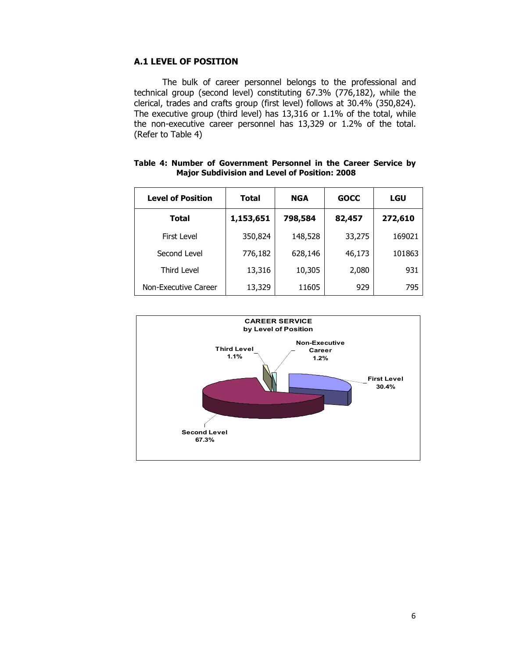## A.1 LEVEL OF POSITION

The bulk of career personnel belongs to the professional and technical group (second level) constituting 67.3% (776,182), while the clerical, trades and crafts group (first level) follows at 30.4% (350,824). The executive group (third level) has 13,316 or 1.1% of the total, while the non-executive career personnel has 13,329 or 1.2% of the total. (Refer to Table 4)

| <b>Level of Position</b> | <b>Total</b> | <b>NGA</b> | <b>GOCC</b> | LGU     |
|--------------------------|--------------|------------|-------------|---------|
| Total                    | 1,153,651    | 798,584    | 82,457      | 272,610 |
| First Level              | 350,824      | 148,528    | 33,275      | 169021  |
| Second Level             | 776,182      | 628,146    | 46,173      | 101863  |
| <b>Third Level</b>       | 13,316       | 10,305     | 2,080       | 931     |
| Non-Executive Career     | 13,329       | 11605      | 929         | 795     |

Table 4: Number of Government Personnel in the Career Service by Major Subdivision and Level of Position: 2008

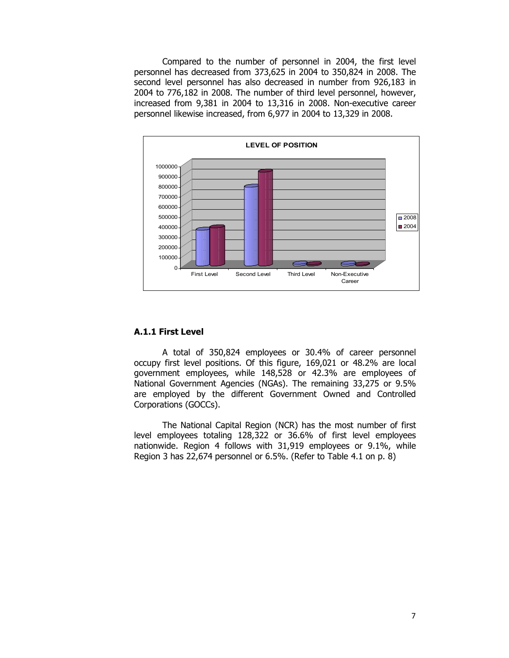Compared to the number of personnel in 2004, the first level personnel has decreased from 373,625 in 2004 to 350,824 in 2008. The second level personnel has also decreased in number from 926,183 in 2004 to 776,182 in 2008. The number of third level personnel, however, increased from 9,381 in 2004 to 13,316 in 2008. Non-executive career personnel likewise increased, from 6,977 in 2004 to 13,329 in 2008.



### A.1.1 First Level

A total of 350,824 employees or 30.4% of career personnel occupy first level positions. Of this figure, 169,021 or 48.2% are local government employees, while 148,528 or 42.3% are employees of National Government Agencies (NGAs). The remaining 33,275 or 9.5% are employed by the different Government Owned and Controlled Corporations (GOCCs).

The National Capital Region (NCR) has the most number of first level employees totaling 128,322 or 36.6% of first level employees nationwide. Region 4 follows with 31,919 employees or 9.1%, while Region 3 has 22,674 personnel or 6.5%. (Refer to Table 4.1 on p. 8)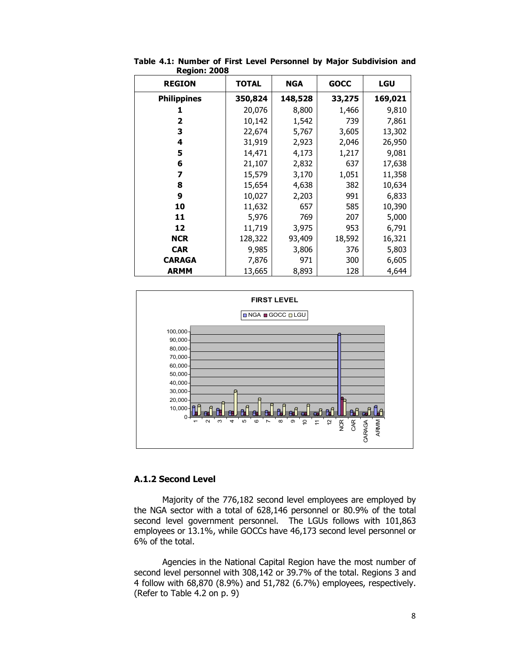| ncyiviii zvvo      |              |            |             |         |
|--------------------|--------------|------------|-------------|---------|
| <b>REGION</b>      | <b>TOTAL</b> | <b>NGA</b> | <b>GOCC</b> | LGU     |
| <b>Philippines</b> | 350,824      | 148,528    | 33,275      | 169,021 |
| 1                  | 20,076       | 8,800      | 1,466       | 9,810   |
| $\overline{2}$     | 10,142       | 1,542      | 739         | 7,861   |
| 3                  | 22,674       | 5,767      | 3,605       | 13,302  |
| 4                  | 31,919       | 2,923      | 2,046       | 26,950  |
| 5                  | 14,471       | 4,173      | 1,217       | 9,081   |
| 6                  | 21,107       | 2,832      | 637         | 17,638  |
| 7                  | 15,579       | 3,170      | 1,051       | 11,358  |
| 8                  | 15,654       | 4,638      | 382         | 10,634  |
| 9                  | 10,027       | 2,203      | 991         | 6,833   |
| 10                 | 11,632       | 657        | 585         | 10,390  |
| 11                 | 5,976        | 769        | 207         | 5,000   |
| 12                 | 11,719       | 3,975      | 953         | 6,791   |
| <b>NCR</b>         | 128,322      | 93,409     | 18,592      | 16,321  |
| <b>CAR</b>         | 9,985        | 3,806      | 376         | 5,803   |
| <b>CARAGA</b>      | 7,876        | 971        | 300         | 6,605   |
| <b>ARMM</b>        | 13,665       | 8,893      | 128         | 4,644   |

Table 4.1: Number of First Level Personnel by Major Subdivision and Region: 2008



## A.1.2 Second Level

Majority of the 776,182 second level employees are employed by the NGA sector with a total of 628,146 personnel or 80.9% of the total second level government personnel. The LGUs follows with 101,863 employees or 13.1%, while GOCCs have 46,173 second level personnel or 6% of the total.

Agencies in the National Capital Region have the most number of second level personnel with 308,142 or 39.7% of the total. Regions 3 and 4 follow with 68,870 (8.9%) and 51,782 (6.7%) employees, respectively. (Refer to Table 4.2 on p. 9)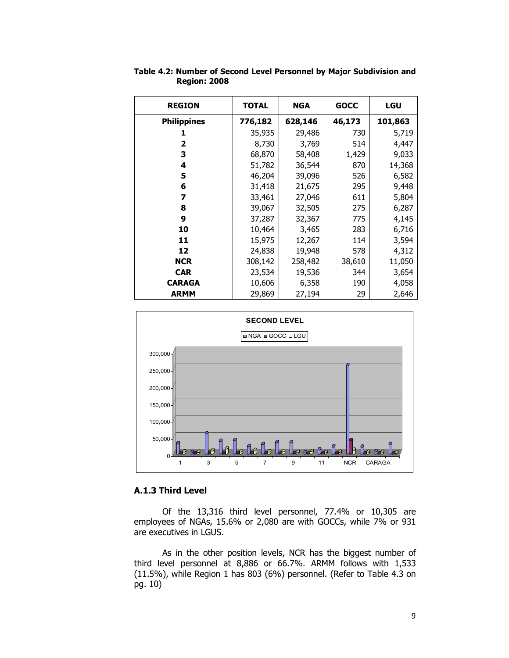| <b>REGION</b>      | <b>TOTAL</b> | <b>NGA</b> | <b>GOCC</b> | <b>LGU</b> |
|--------------------|--------------|------------|-------------|------------|
| <b>Philippines</b> | 776,182      | 628,146    | 46,173      | 101,863    |
|                    | 35,935       | 29,486     | 730         | 5,719      |
| 2                  | 8,730        | 3,769      | 514         | 4,447      |
| 3                  | 68,870       | 58,408     | 1,429       | 9,033      |
| 4                  | 51,782       | 36,544     | 870         | 14,368     |
| 5                  | 46,204       | 39,096     | 526         | 6,582      |
| 6                  | 31,418       | 21,675     | 295         | 9,448      |
| 7                  | 33,461       | 27,046     | 611         | 5,804      |
| 8                  | 39,067       | 32,505     | 275         | 6,287      |
| 9                  | 37,287       | 32,367     | 775         | 4,145      |
| 10                 | 10,464       | 3,465      | 283         | 6,716      |
| 11                 | 15,975       | 12,267     | 114         | 3,594      |
| 12                 | 24,838       | 19,948     | 578         | 4,312      |
| <b>NCR</b>         | 308,142      | 258,482    | 38,610      | 11,050     |
| <b>CAR</b>         | 23,534       | 19,536     | 344         | 3,654      |
| <b>CARAGA</b>      | 10,606       | 6,358      | 190         | 4,058      |
| <b>ARMM</b>        | 29,869       | 27,194     | 29          | 2,646      |

Table 4.2: Number of Second Level Personnel by Major Subdivision and Region: 2008



# A.1.3 Third Level

Of the 13,316 third level personnel, 77.4% or 10,305 are employees of NGAs, 15.6% or 2,080 are with GOCCs, while 7% or 931 are executives in LGUS.

As in the other position levels, NCR has the biggest number of third level personnel at 8,886 or 66.7%. ARMM follows with 1,533 (11.5%), while Region 1 has 803 (6%) personnel. (Refer to Table 4.3 on pg. 10)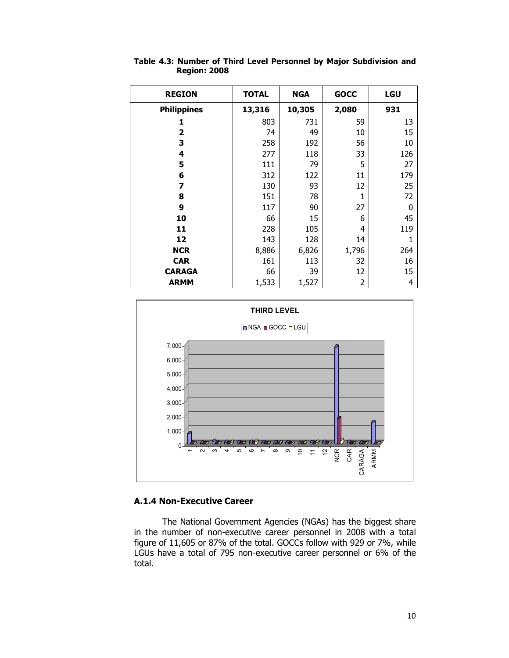| <b>REGION</b>      | <b>TOTAL</b> | <b>NGA</b> | <b>GOCC</b>    | <b>LGU</b> |
|--------------------|--------------|------------|----------------|------------|
| <b>Philippines</b> | 13,316       | 10,305     | 2,080          | 931        |
| 1                  | 803          | 731        | 59             | 13         |
| 2                  | 74           | 49         | 10             | 15         |
| 3                  | 258          | 192        | 56             | 10         |
| 4                  | 277          | 118        | 33             | 126        |
| 5                  | 111          | 79         | 5              | 27         |
| 6                  | 312          | 122        | 11             | 179        |
| 7                  | 130          | 93         | 12             | 25         |
| 8                  | 151          | 78         | $\mathbf{1}$   | 72         |
| 9                  | 117          | 90         | 27             | 0          |
| 10                 | 66           | 15         | 6              | 45         |
| 11                 | 228          | 105        | 4              | 119        |
| 12                 | 143          | 128        | 14             |            |
| <b>NCR</b>         | 8,886        | 6,826      | 1,796          | 264        |
| <b>CAR</b>         | 161          | 113        | 32             | 16         |
| <b>CARAGA</b>      | 66           | 39         | 12             | 15         |
| <b>ARMM</b>        | 1,533        | 1,527      | $\overline{2}$ | 4          |





#### A.1.4 Non-Executive Career

The National Government Agencies (NGAs) has the biggest share in the number of non-executive career personnel in 2008 with a total figure of 11,605 or 87% of the total. GOCCs follow with 929 or 7%, while LGUs have a total of 795 non-executive career personnel or 6% of the total.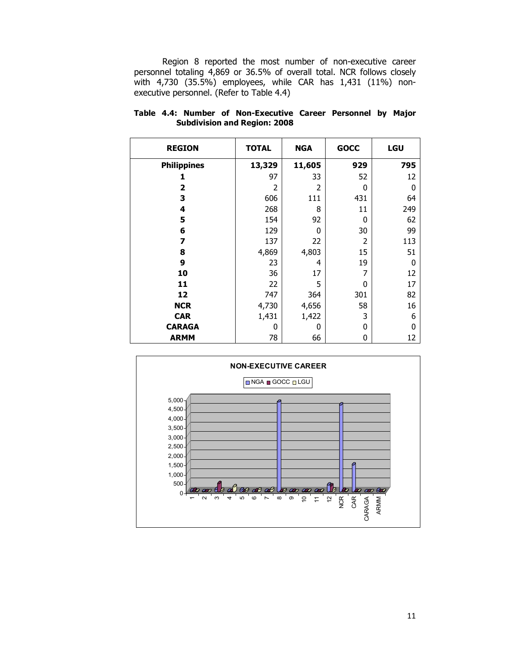Region 8 reported the most number of non-executive career personnel totaling 4,869 or 36.5% of overall total. NCR follows closely with 4,730 (35.5%) employees, while CAR has 1,431 (11%) nonexecutive personnel. (Refer to Table 4.4)

| <b>REGION</b>      | <b>TOTAL</b> | <b>NGA</b> | <b>GOCC</b>    | LGU |
|--------------------|--------------|------------|----------------|-----|
| <b>Philippines</b> | 13,329       | 11,605     | 929            | 795 |
| 1                  | 97           | 33         | 52             | 12  |
| $\overline{2}$     | 2            | 2          | 0              | 0   |
| 3                  | 606          | 111        | 431            | 64  |
| 4                  | 268          | 8          | 11             | 249 |
| 5                  | 154          | 92         | 0              | 62  |
| 6                  | 129          | 0          | 30             | 99  |
| 7                  | 137          | 22         | $\overline{2}$ | 113 |
| 8                  | 4,869        | 4,803      | 15             | 51  |
| 9                  | 23           | 4          | 19             | 0   |
| 10                 | 36           | 17         | 7              | 12  |
| 11                 | 22           | 5          | 0              | 17  |
| 12                 | 747          | 364        | 301            | 82  |
| <b>NCR</b>         | 4,730        | 4,656      | 58             | 16  |
| <b>CAR</b>         | 1,431        | 1,422      | 3              | 6   |
| <b>CARAGA</b>      | 0            | 0          | 0              | 0   |
| <b>ARMM</b>        | 78           | 66         | 0              | 12  |

#### Table 4.4: Number of Non-Executive Career Personnel by Major Subdivision and Region: 2008

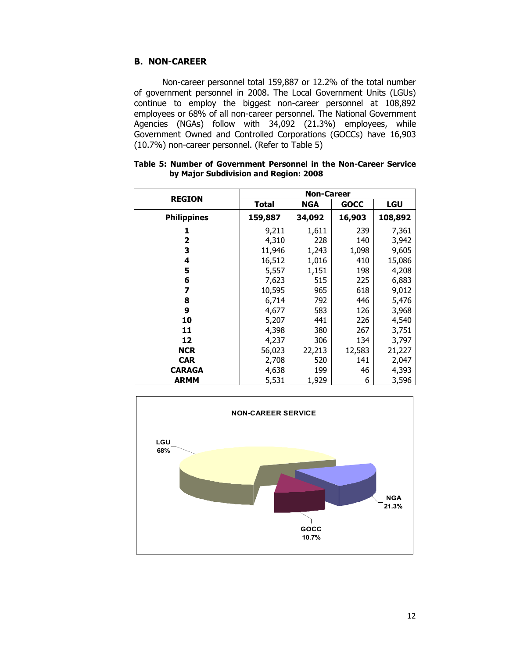## B. NON-CAREER

Non-career personnel total 159,887 or 12.2% of the total number of government personnel in 2008. The Local Government Units (LGUs) continue to employ the biggest non-career personnel at 108,892 employees or 68% of all non-career personnel. The National Government Agencies (NGAs) follow with 34,092 (21.3%) employees, while Government Owned and Controlled Corporations (GOCCs) have 16,903 (10.7%) non-career personnel. (Refer to Table 5)

| <b>REGION</b>      |              | <b>Non-Career</b> |             |         |
|--------------------|--------------|-------------------|-------------|---------|
|                    | <b>Total</b> | <b>NGA</b>        | <b>GOCC</b> | LGU     |
| <b>Philippines</b> | 159,887      | 34,092            | 16,903      | 108,892 |
| 1                  | 9,211        | 1,611             | 239         | 7,361   |
| 2                  | 4,310        | 228               | 140         | 3,942   |
| 3                  | 11,946       | 1,243             | 1,098       | 9,605   |
| 4                  | 16,512       | 1,016             | 410         | 15,086  |
| 5                  | 5,557        | 1,151             | 198         | 4,208   |
| 6                  | 7,623        | 515               | 225         | 6,883   |
| 7                  | 10,595       | 965               | 618         | 9,012   |
| 8                  | 6,714        | 792               | 446         | 5,476   |
| 9                  | 4,677        | 583               | 126         | 3,968   |
| 10                 | 5,207        | 441               | 226         | 4,540   |
| 11                 | 4,398        | 380               | 267         | 3,751   |
| 12                 | 4,237        | 306               | 134         | 3,797   |
| <b>NCR</b>         | 56,023       | 22,213            | 12,583      | 21,227  |
| <b>CAR</b>         | 2,708        | 520               | 141         | 2,047   |
| <b>CARAGA</b>      | 4,638        | 199               | 46          | 4,393   |
| <b>ARMM</b>        | 5,531        | 1,929             | 6           | 3,596   |

|  |  |                                       |  |  | Table 5: Number of Government Personnel in the Non-Career Service |  |
|--|--|---------------------------------------|--|--|-------------------------------------------------------------------|--|
|  |  | by Major Subdivision and Region: 2008 |  |  |                                                                   |  |

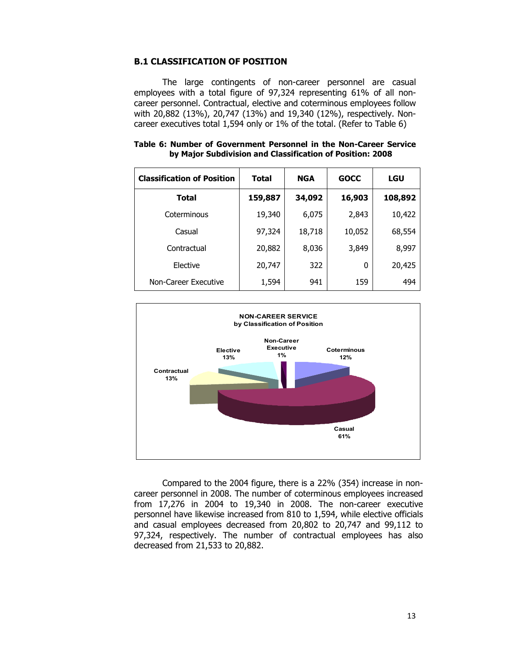## B.1 CLASSIFICATION OF POSITION

The large contingents of non-career personnel are casual employees with a total figure of 97,324 representing 61% of all noncareer personnel. Contractual, elective and coterminous employees follow with 20,882 (13%), 20,747 (13%) and 19,340 (12%), respectively. Noncareer executives total 1,594 only or 1% of the total. (Refer to Table 6)

|  |  | Table 6: Number of Government Personnel in the Non-Career Service |  |  |  |
|--|--|-------------------------------------------------------------------|--|--|--|
|  |  | by Major Subdivision and Classification of Position: 2008         |  |  |  |

| <b>Classification of Position</b> | <b>Total</b> | <b>NGA</b> | <b>GOCC</b> | <b>LGU</b> |
|-----------------------------------|--------------|------------|-------------|------------|
| <b>Total</b>                      | 159,887      | 34,092     | 16,903      | 108,892    |
| Coterminous                       | 19,340       | 6,075      | 2,843       | 10,422     |
| Casual                            | 97,324       | 18,718     | 10,052      | 68,554     |
| Contractual                       | 20,882       | 8,036      | 3,849       | 8,997      |
| Elective                          | 20,747       | 322        | 0           | 20,425     |
| Non-Career Executive              | 1,594        | 941        | 159         | 494        |

![](_page_12_Figure_4.jpeg)

Compared to the 2004 figure, there is a 22% (354) increase in noncareer personnel in 2008. The number of coterminous employees increased from 17,276 in 2004 to 19,340 in 2008. The non-career executive personnel have likewise increased from 810 to 1,594, while elective officials and casual employees decreased from 20,802 to 20,747 and 99,112 to 97,324, respectively. The number of contractual employees has also decreased from 21,533 to 20,882.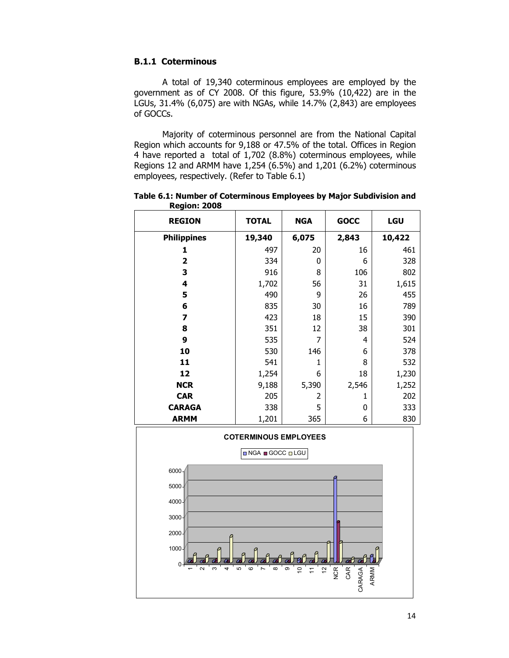## B.1.1 Coterminous

A total of 19,340 coterminous employees are employed by the government as of CY 2008. Of this figure, 53.9% (10,422) are in the LGUs, 31.4% (6,075) are with NGAs, while 14.7% (2,843) are employees of GOCCs.

 Majority of coterminous personnel are from the National Capital Region which accounts for 9,188 or 47.5% of the total. Offices in Region 4 have reported a total of 1,702 (8.8%) coterminous employees, while Regions 12 and ARMM have 1,254 (6.5%) and 1,201 (6.2%) coterminous employees, respectively. (Refer to Table 6.1)

| <b>REGION</b>      | <b>TOTAL</b> | <b>NGA</b>     | <b>GOCC</b> | <b>LGU</b> |
|--------------------|--------------|----------------|-------------|------------|
| <b>Philippines</b> | 19,340       | 6,075          | 2,843       | 10,422     |
| 1                  | 497          | 20             | 16          | 461        |
| 2                  | 334          | 0              | 6           | 328        |
| 3                  | 916          | 8              | 106         | 802        |
| 4                  | 1,702        | 56             | 31          | 1,615      |
| 5                  | 490          | 9              | 26          | 455        |
| 6                  | 835          | 30             | 16          | 789        |
| 7                  | 423          | 18             | 15          | 390        |
| 8                  | 351          | 12             | 38          | 301        |
| 9                  | 535          | 7              | 4           | 524        |
| 10                 | 530          | 146            | 6           | 378        |
| 11                 | 541          | 1              | 8           | 532        |
| 12                 | 1,254        | 6              | 18          | 1,230      |
| <b>NCR</b>         | 9,188        | 5,390          | 2,546       | 1,252      |
| <b>CAR</b>         | 205          | $\overline{2}$ | 1           | 202        |
| <b>CARAGA</b>      | 338          | 5              | 0           | 333        |
| <b>ARMM</b>        | 1,201        | 365            | 6           | 830        |

Table 6.1: Number of Coterminous Employees by Major Subdivision and Region: 2008

![](_page_13_Figure_5.jpeg)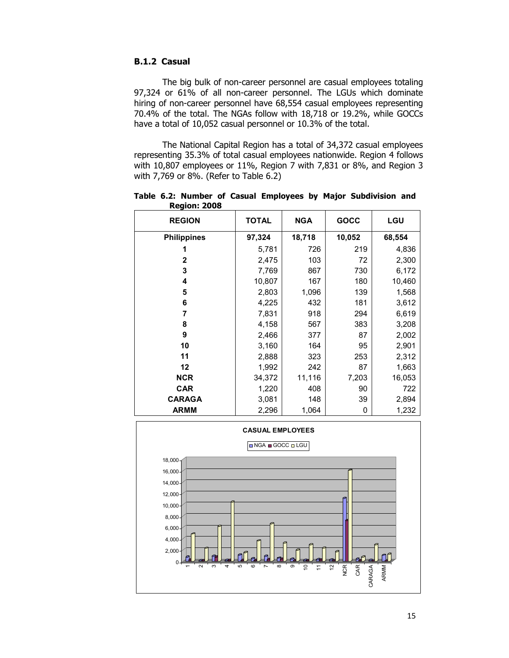## B.1.2 Casual

 The big bulk of non-career personnel are casual employees totaling 97,324 or 61% of all non-career personnel. The LGUs which dominate hiring of non-career personnel have 68,554 casual employees representing 70.4% of the total. The NGAs follow with 18,718 or 19.2%, while GOCCs have a total of 10,052 casual personnel or 10.3% of the total.

 The National Capital Region has a total of 34,372 casual employees representing 35.3% of total casual employees nationwide. Region 4 follows with 10,807 employees or 11%, Region 7 with 7,831 or 8%, and Region 3 with 7,769 or 8%. (Refer to Table 6.2)

| <b>REGION</b>      | <b>TOTAL</b> | <b>NGA</b> | GOCC   | LGU    |
|--------------------|--------------|------------|--------|--------|
| <b>Philippines</b> | 97,324       | 18,718     | 10,052 | 68,554 |
|                    | 5,781        | 726        | 219    | 4,836  |
| $\mathbf{2}$       | 2,475        | 103        | 72     | 2,300  |
| 3                  | 7,769        | 867        | 730    | 6,172  |
| 4                  | 10,807       | 167        | 180    | 10,460 |
| 5                  | 2,803        | 1,096      | 139    | 1,568  |
| 6                  | 4,225        | 432        | 181    | 3,612  |
| 7                  | 7,831        | 918        | 294    | 6,619  |
| 8                  | 4,158        | 567        | 383    | 3,208  |
| 9                  | 2,466        | 377        | 87     | 2,002  |
| 10                 | 3,160        | 164        | 95     | 2,901  |
| 11                 | 2,888        | 323        | 253    | 2,312  |
| 12                 | 1,992        | 242        | 87     | 1,663  |
| <b>NCR</b>         | 34,372       | 11,116     | 7,203  | 16,053 |
| <b>CAR</b>         | 1,220        | 408        | 90     | 722    |
| <b>CARAGA</b>      | 3,081        | 148        | 39     | 2,894  |
| <b>ARMM</b>        | 2,296        | 1,064      | 0      | 1,232  |

Table 6.2: Number of Casual Employees by Major Subdivision and Region: 2008

![](_page_14_Figure_5.jpeg)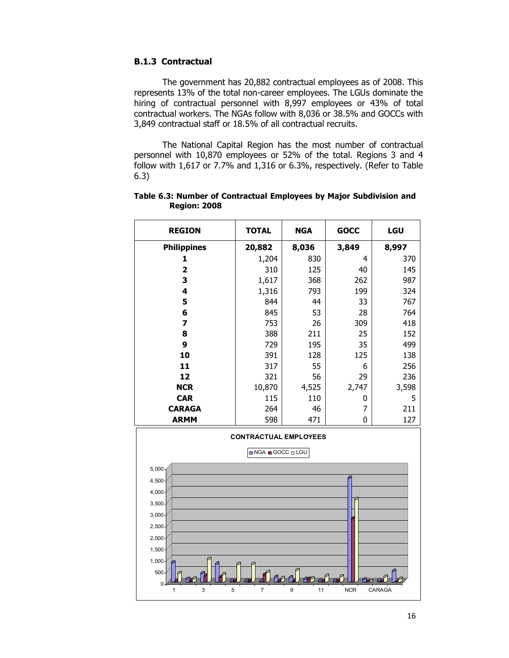## B.1.3 Contractual

The government has 20,882 contractual employees as of 2008. This represents 13% of the total non-career employees. The LGUs dominate the hiring of contractual personnel with 8,997 employees or 43% of total contractual workers. The NGAs follow with 8,036 or 38.5% and GOCCs with 3,849 contractual staff or 18.5% of all contractual recruits.

The National Capital Region has the most number of contractual personnel with 10,870 employees or 52% of the total. Regions 3 and 4 follow with 1,617 or 7.7% and 1,316 or 6.3%, respectively. (Refer to Table 6.3)

| <b>REGION</b>      | <b>TOTAL</b> | <b>NGA</b> | <b>GOCC</b> | <b>LGU</b> |
|--------------------|--------------|------------|-------------|------------|
| <b>Philippines</b> | 20,882       | 8,036      | 3,849       | 8,997      |
|                    | 1,204        | 830        | 4           | 370        |
| 2                  | 310          | 125        | 40          | 145        |
| 3                  | 1,617        | 368        | 262         | 987        |
| 4                  | 1,316        | 793        | 199         | 324        |
| 5                  | 844          | 44         | 33          | 767        |
| 6                  | 845          | 53         | 28          | 764        |
| 7                  | 753          | 26         | 309         | 418        |
| 8                  | 388          | 211        | 25          | 152        |
| 9                  | 729          | 195        | 35          | 499        |
| 10                 | 391          | 128        | 125         | 138        |
| 11                 | 317          | 55         | 6           | 256        |
| 12                 | 321          | 56         | 29          | 236        |
| <b>NCR</b>         | 10,870       | 4,525      | 2,747       | 3,598      |
| <b>CAR</b>         | 115          | 110        | 0           | 5          |
| <b>CARAGA</b>      | 264          | 46         | 7           | 211        |
| <b>ARMM</b>        | 598          | 471        | 0           | 127        |

Table 6.3: Number of Contractual Employees by Major Subdivision and Region: 2008

![](_page_15_Figure_5.jpeg)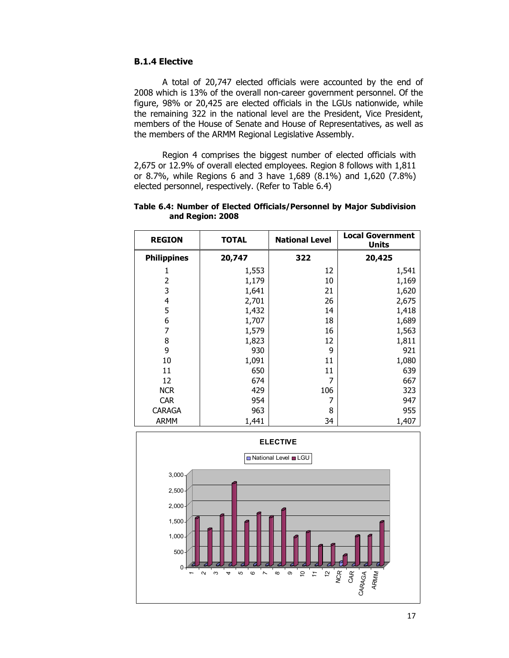## B.1.4 Elective

A total of 20,747 elected officials were accounted by the end of 2008 which is 13% of the overall non-career government personnel. Of the figure, 98% or 20,425 are elected officials in the LGUs nationwide, while the remaining 322 in the national level are the President, Vice President, members of the House of Senate and House of Representatives, as well as the members of the ARMM Regional Legislative Assembly.

 Region 4 comprises the biggest number of elected officials with 2,675 or 12.9% of overall elected employees. Region 8 follows with 1,811 or 8.7%, while Regions 6 and 3 have 1,689 (8.1%) and 1,620 (7.8%) elected personnel, respectively. (Refer to Table 6.4)

| <b>REGION</b>      | <b>TOTAL</b> | <b>National Level</b> | <b>Local Government</b><br><b>Units</b> |
|--------------------|--------------|-----------------------|-----------------------------------------|
| <b>Philippines</b> | 20,747       | 322                   | 20,425                                  |
| 1                  | 1,553        | 12                    | 1,541                                   |
| 2                  | 1,179        | 10                    | 1,169                                   |
| 3                  | 1,641        | 21                    | 1,620                                   |
| 4                  | 2,701        | 26                    | 2,675                                   |
| 5                  | 1,432        | 14                    | 1,418                                   |
| 6                  | 1,707        | 18                    | 1,689                                   |
| 7                  | 1,579        | 16                    | 1,563                                   |
| 8                  | 1,823        | 12                    | 1,811                                   |
| 9                  | 930          | 9                     | 921                                     |
| 10                 | 1,091        | 11                    | 1,080                                   |
| 11                 | 650          | 11                    | 639                                     |
| 12                 | 674          |                       | 667                                     |
| <b>NCR</b>         | 429          | 106                   | 323                                     |
| <b>CAR</b>         | 954          |                       | 947                                     |
| CARAGA             | 963          | 8                     | 955                                     |
| <b>ARMM</b>        | 1,441        | 34                    | 1,407                                   |

Table 6.4: Number of Elected Officials/Personnel by Major Subdivision and Region: 2008

![](_page_16_Figure_5.jpeg)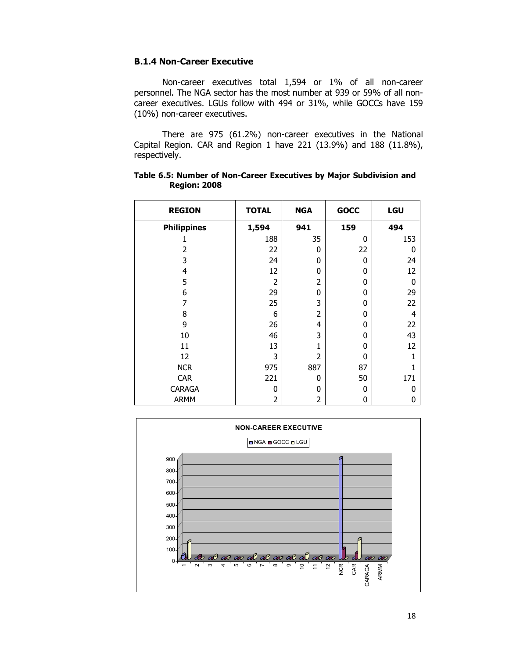## B.1.4 Non-Career Executive

Non-career executives total 1,594 or 1% of all non-career personnel. The NGA sector has the most number at 939 or 59% of all noncareer executives. LGUs follow with 494 or 31%, while GOCCs have 159 (10%) non-career executives.

There are 975 (61.2%) non-career executives in the National Capital Region. CAR and Region 1 have 221 (13.9%) and 188 (11.8%), respectively.

| <b>REGION</b>      | <b>TOTAL</b>   | <b>NGA</b>     | <b>GOCC</b>  | LGU |
|--------------------|----------------|----------------|--------------|-----|
| <b>Philippines</b> | 1,594          | 941            | 159          | 494 |
|                    | 188            | 35             | 0            | 153 |
| $\mathcal{P}$      | 22             | 0              | 22           | 0   |
| 3                  | 24             | 0              | 0            | 24  |
| 4                  | 12             | 0              | 0            | 12  |
| 5                  | 2              | $\overline{2}$ | 0            | 0   |
| 6                  | 29             | 0              | 0            | 29  |
| 7                  | 25             | 3              | 0            | 22  |
| 8                  | 6              | $\overline{2}$ | 0            | 4   |
| 9                  | 26             | 4              | 0            | 22  |
| 10                 | 46             | 3              | 0            | 43  |
| 11                 | 13             | 1              | 0            | 12  |
| 12                 | 3              | $\overline{2}$ | $\mathbf{0}$ |     |
| <b>NCR</b>         | 975            | 887            | 87           |     |
| <b>CAR</b>         | 221            | 0              | 50           | 171 |
| CARAGA             | 0              | 0              | $\mathbf{0}$ | ŋ   |
| <b>ARMM</b>        | $\overline{2}$ | $\overline{c}$ | 0            | 0   |

Table 6.5: Number of Non-Career Executives by Major Subdivision and Region: 2008

![](_page_17_Figure_5.jpeg)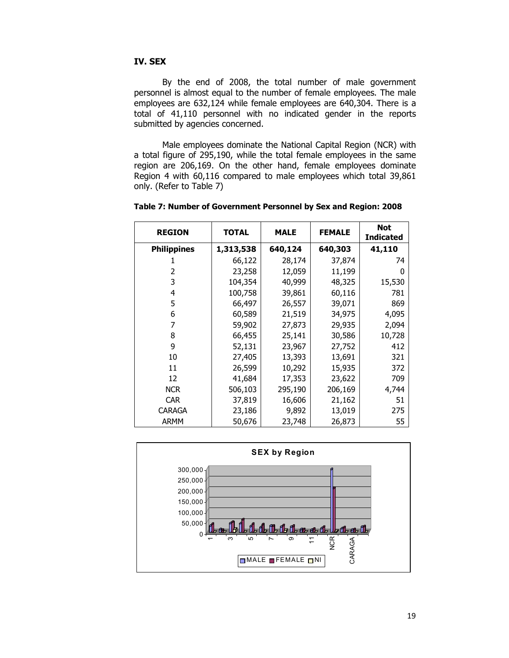## IV. SEX

 By the end of 2008, the total number of male government personnel is almost equal to the number of female employees. The male employees are 632,124 while female employees are 640,304. There is a total of 41,110 personnel with no indicated gender in the reports submitted by agencies concerned.

 Male employees dominate the National Capital Region (NCR) with a total figure of 295,190, while the total female employees in the same region are 206,169. On the other hand, female employees dominate Region 4 with 60,116 compared to male employees which total 39,861 only. (Refer to Table 7)

| <b>REGION</b>      | <b>TOTAL</b> | <b>MALE</b> | <b>FEMALE</b> | <b>Not</b><br><b>Indicated</b> |
|--------------------|--------------|-------------|---------------|--------------------------------|
| <b>Philippines</b> | 1,313,538    | 640,124     | 640,303       | 41,110                         |
|                    | 66,122       | 28,174      | 37,874        | 74                             |
| 2                  | 23,258       | 12,059      | 11,199        | 0                              |
| 3                  | 104,354      | 40,999      | 48,325        | 15,530                         |
| 4                  | 100,758      | 39,861      | 60,116        | 781                            |
| 5                  | 66,497       | 26,557      | 39,071        | 869                            |
| 6                  | 60,589       | 21,519      | 34,975        | 4,095                          |
| 7                  | 59,902       | 27,873      | 29,935        | 2,094                          |
| 8                  | 66,455       | 25,141      | 30,586        | 10,728                         |
| 9                  | 52,131       | 23,967      | 27,752        | 412                            |
| 10                 | 27,405       | 13,393      | 13,691        | 321                            |
| 11                 | 26,599       | 10,292      | 15,935        | 372                            |
| 12                 | 41,684       | 17,353      | 23,622        | 709                            |
| <b>NCR</b>         | 506,103      | 295,190     | 206,169       | 4,744                          |
| <b>CAR</b>         | 37,819       | 16,606      | 21,162        | 51                             |
| <b>CARAGA</b>      | 23,186       | 9,892       | 13,019        | 275                            |
| <b>ARMM</b>        | 50,676       | 23,748      | 26,873        | 55                             |

Table 7: Number of Government Personnel by Sex and Region: 2008

![](_page_18_Figure_5.jpeg)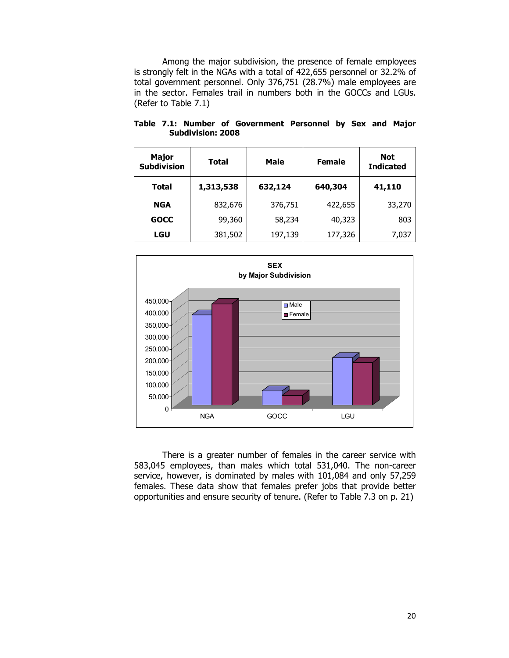Among the major subdivision, the presence of female employees is strongly felt in the NGAs with a total of 422,655 personnel or 32.2% of total government personnel. Only 376,751 (28.7%) male employees are in the sector. Females trail in numbers both in the GOCCs and LGUs. (Refer to Table 7.1)

| <b>Major</b><br><b>Subdivision</b> | Total     | <b>Male</b> | <b>Female</b> | <b>Not</b><br><b>Indicated</b> |
|------------------------------------|-----------|-------------|---------------|--------------------------------|
| <b>Total</b>                       | 1,313,538 | 632,124     | 640,304       | 41,110                         |
| <b>NGA</b>                         | 832,676   | 376,751     | 422,655       | 33,270                         |
| <b>GOCC</b>                        | 99,360    | 58,234      | 40,323        | 803                            |
| LGU                                | 381,502   | 197,139     | 177,326       | 7,037                          |

Table 7.1: Number of Government Personnel by Sex and Major Subdivision: 2008

![](_page_19_Figure_3.jpeg)

There is a greater number of females in the career service with 583,045 employees, than males which total 531,040. The non-career service, however, is dominated by males with 101,084 and only 57,259 females. These data show that females prefer jobs that provide better opportunities and ensure security of tenure. (Refer to Table 7.3 on p. 21)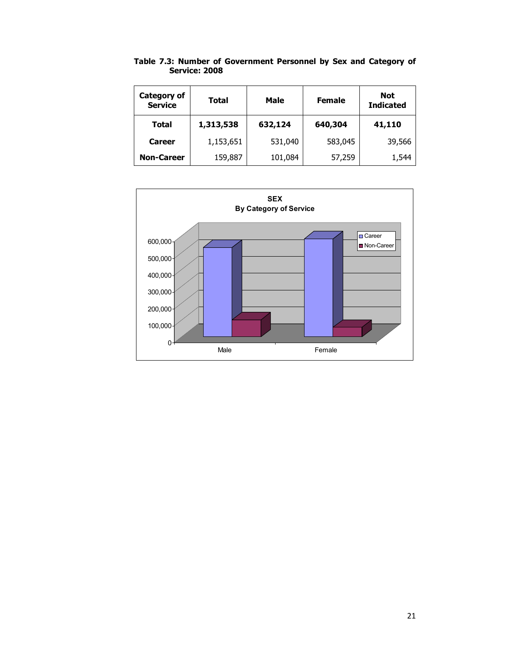| Category of<br><b>Service</b> | <b>Total</b>         | <b>Male</b> | <b>Female</b> | <b>Not</b><br><b>Indicated</b> |
|-------------------------------|----------------------|-------------|---------------|--------------------------------|
| Total                         | 1,313,538<br>632,124 |             | 640,304       | 41,110                         |
| <b>Career</b>                 | 1,153,651            | 531,040     | 583,045       | 39,566                         |
| <b>Non-Career</b>             | 159,887              | 101,084     | 57,259        | 1,544                          |

Table 7.3: Number of Government Personnel by Sex and Category of Service: 2008

![](_page_20_Figure_2.jpeg)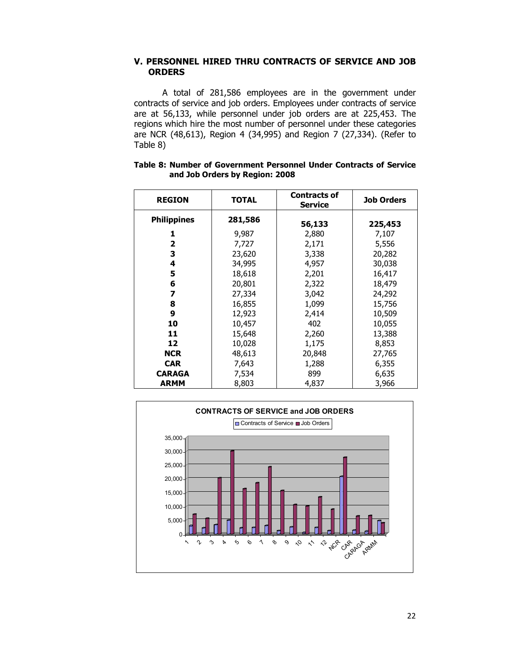### V. PERSONNEL HIRED THRU CONTRACTS OF SERVICE AND JOB **ORDERS**

A total of 281,586 employees are in the government under contracts of service and job orders. Employees under contracts of service are at 56,133, while personnel under job orders are at 225,453. The regions which hire the most number of personnel under these categories are NCR (48,613), Region 4 (34,995) and Region 7 (27,334). (Refer to Table 8)

| <b>REGION</b>      | <b>TOTAL</b> | <b>Contracts of</b><br><b>Service</b> | <b>Job Orders</b> |  |
|--------------------|--------------|---------------------------------------|-------------------|--|
| <b>Philippines</b> | 281,586      | 56,133                                | 225,453           |  |
| 1                  | 9,987        | 2,880                                 | 7,107             |  |
| 2                  | 7,727        | 2,171                                 | 5,556             |  |
| 3                  | 23,620       | 3,338                                 | 20,282            |  |
| 4                  | 34,995       | 4,957                                 | 30,038            |  |
| 5                  | 18,618       | 2,201                                 | 16,417            |  |
| 6                  | 20,801       | 2,322                                 | 18,479            |  |
| 7                  | 27,334       | 3,042                                 | 24,292            |  |
| 8                  | 16,855       | 1,099                                 | 15,756            |  |
| 9                  | 12,923       | 2,414                                 | 10,509            |  |
| 10                 | 10,457       | 402                                   | 10,055            |  |
| 11                 | 15,648       | 2,260                                 | 13,388            |  |
| 12                 | 10,028       | 1,175                                 | 8,853             |  |
| <b>NCR</b>         | 48,613       | 20,848                                | 27,765            |  |
| <b>CAR</b>         | 7,643        | 1,288                                 | 6,355             |  |
| <b>CARAGA</b>      | 7,534        | 899                                   | 6,635             |  |
| <b>ARMM</b>        | 8,803        | 4,837                                 | 3,966             |  |

#### Table 8: Number of Government Personnel Under Contracts of Service and Job Orders by Region: 2008

![](_page_21_Figure_4.jpeg)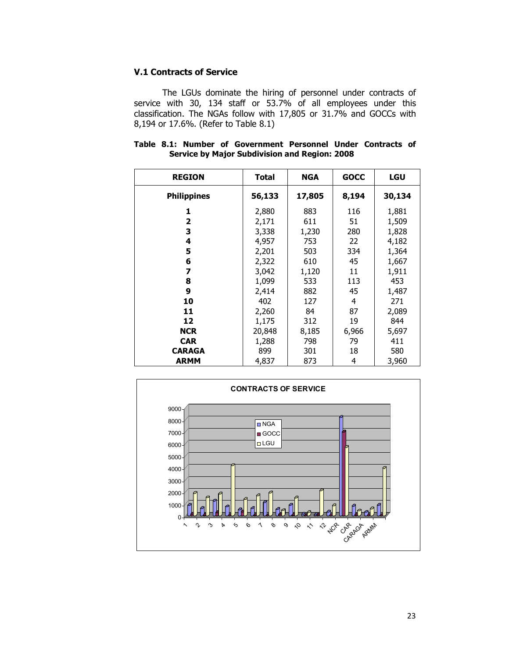## V.1 Contracts of Service

The LGUs dominate the hiring of personnel under contracts of service with 30, 134 staff or 53.7% of all employees under this classification. The NGAs follow with 17,805 or 31.7% and GOCCs with 8,194 or 17.6%. (Refer to Table 8.1)

|  |  | Table 8.1: Number of Government Personnel Under Contracts of |  |  |
|--|--|--------------------------------------------------------------|--|--|
|  |  | <b>Service by Major Subdivision and Region: 2008</b>         |  |  |

| <b>REGION</b>      | <b>Total</b> | <b>NGA</b> | <b>GOCC</b> | <b>LGU</b> |
|--------------------|--------------|------------|-------------|------------|
| <b>Philippines</b> | 56,133       | 17,805     | 8,194       | 30,134     |
| 1                  | 2,880        | 883        | 116         | 1,881      |
| 2                  | 2,171        | 611        | 51          | 1,509      |
| 3                  | 3,338        | 1,230      | 280         | 1,828      |
| 4                  | 4,957        | 753        | 22          | 4,182      |
| 5                  | 2,201        | 503        | 334         | 1,364      |
| 6                  | 2,322        | 610        | 45          | 1,667      |
| 7                  | 3,042        | 1,120      | 11          | 1,911      |
| 8                  | 1,099        | 533        | 113         | 453        |
| 9                  | 2,414        | 882        | 45          | 1,487      |
| 10                 | 402          | 127        | 4           | 271        |
| 11                 | 2,260        | 84         | 87          | 2,089      |
| 12                 | 1,175        | 312        | 19          | 844        |
| <b>NCR</b>         | 20,848       | 8,185      | 6,966       | 5,697      |
| <b>CAR</b>         | 1,288        | 798        | 79          | 411        |
| <b>CARAGA</b>      | 899          | 301        | 18          | 580        |
| <b>ARMM</b>        | 4,837        | 873        | 4           | 3,960      |

![](_page_22_Figure_4.jpeg)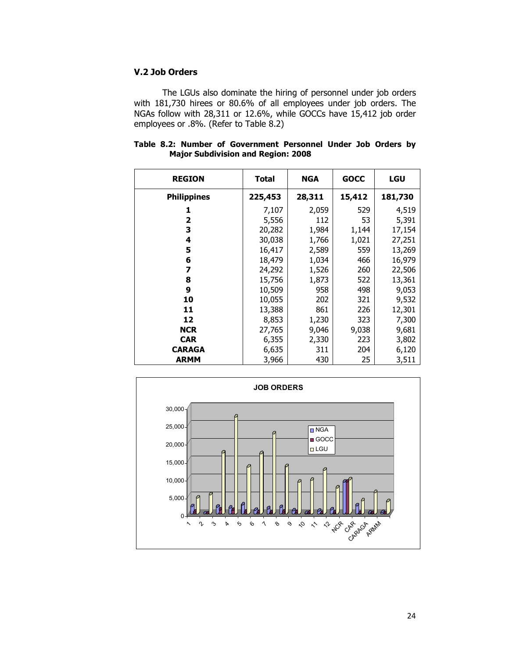## V.2 Job Orders

The LGUs also dominate the hiring of personnel under job orders with 181,730 hirees or 80.6% of all employees under job orders. The NGAs follow with 28,311 or 12.6%, while GOCCs have 15,412 job order employees or .8%. (Refer to Table 8.2)

| <b>REGION</b>      | Total   | <b>NGA</b> | <b>GOCC</b> | <b>LGU</b> |
|--------------------|---------|------------|-------------|------------|
| <b>Philippines</b> | 225,453 | 28,311     | 15,412      | 181,730    |
| 1                  | 7,107   | 2,059      | 529         | 4,519      |
| 2                  | 5,556   | 112        | 53          | 5,391      |
| 3                  | 20,282  | 1,984      | 1,144       | 17,154     |
| 4                  | 30,038  | 1,766      | 1,021       | 27,251     |
| 5                  | 16,417  | 2,589      | 559         | 13,269     |
| 6                  | 18,479  | 1,034      | 466         | 16,979     |
| 7                  | 24,292  | 1,526      | 260         | 22,506     |
| 8                  | 15,756  | 1,873      | 522         | 13,361     |
| 9                  | 10,509  | 958        | 498         | 9,053      |
| 10                 | 10,055  | 202        | 321         | 9,532      |
| 11                 | 13,388  | 861        | 226         | 12,301     |
| 12                 | 8,853   | 1,230      | 323         | 7,300      |
| <b>NCR</b>         | 27,765  | 9,046      | 9,038       | 9,681      |
| <b>CAR</b>         | 6,355   | 2,330      | 223         | 3,802      |
| <b>CARAGA</b>      | 6,635   | 311        | 204         | 6,120      |
| <b>ARMM</b>        | 3,966   | 430        | 25          | 3,511      |

|  |  | Table 8.2: Number of Government Personnel Under Job Orders by |  |  |  |
|--|--|---------------------------------------------------------------|--|--|--|
|  |  | <b>Major Subdivision and Region: 2008</b>                     |  |  |  |

![](_page_23_Figure_4.jpeg)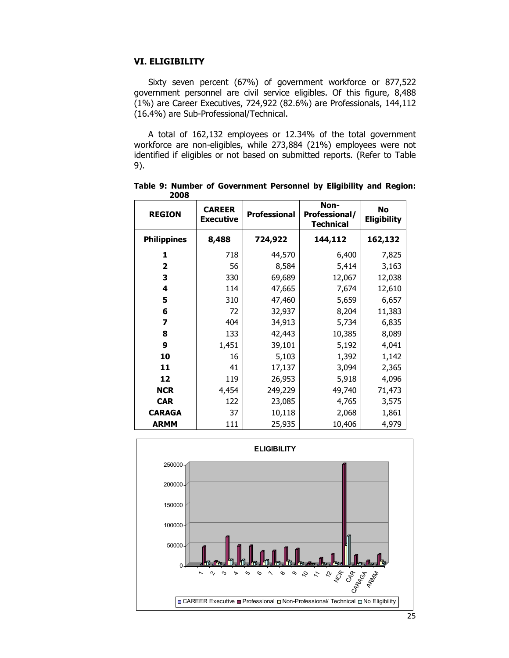## VI. ELIGIBILITY

Sixty seven percent (67%) of government workforce or 877,522 government personnel are civil service eligibles. Of this figure, 8,488 (1%) are Career Executives, 724,922 (82.6%) are Professionals, 144,112 (16.4%) are Sub-Professional/Technical.

A total of 162,132 employees or 12.34% of the total government workforce are non-eligibles, while 273,884 (21%) employees were not identified if eligibles or not based on submitted reports. (Refer to Table 9).

| <b>REGION</b>      | <b>CAREER</b><br><b>Executive</b> | <b>Professional</b> | Non-<br><b>Professional/</b><br><b>Technical</b> | <b>No</b><br><b>Eligibility</b> |  |
|--------------------|-----------------------------------|---------------------|--------------------------------------------------|---------------------------------|--|
| <b>Philippines</b> | 8,488                             | 724,922             | 144,112                                          | 162,132                         |  |
| 1                  | 718                               | 44,570              | 6,400                                            | 7,825                           |  |
| $\mathbf{2}$       | 56                                | 8,584               | 5,414                                            | 3,163                           |  |
| 3                  | 330                               | 69,689              | 12,067                                           | 12,038                          |  |
| 4                  | 114                               | 47,665              | 7,674                                            | 12,610                          |  |
| 5                  | 310                               | 47,460              | 5,659                                            | 6,657                           |  |
| 6                  | 72                                | 32,937              | 8,204                                            | 11,383                          |  |
| 7                  | 404                               | 34,913              | 5,734                                            | 6,835                           |  |
| 8                  | 133                               | 42,443              | 10,385                                           | 8,089                           |  |
| 9                  | 1,451                             | 39,101              | 5,192                                            | 4,041                           |  |
| 10                 | 16                                | 5,103               | 1,392                                            | 1,142                           |  |
| 11                 | 41                                | 17,137              | 3,094                                            | 2,365                           |  |
| 12                 | 119                               | 26,953              | 5,918                                            | 4,096                           |  |
| <b>NCR</b>         | 4,454                             | 249,229             | 49,740                                           | 71,473                          |  |
| <b>CAR</b>         | 122                               | 23,085              | 4,765                                            | 3,575                           |  |
| <b>CARAGA</b>      | 37                                | 10,118              | 2,068                                            | 1,861                           |  |
| <b>ARMM</b>        | 111                               | 25,935              | 10,406                                           | 4,979                           |  |

Table 9: Number of Government Personnel by Eligibility and Region: 2008

![](_page_24_Figure_5.jpeg)

25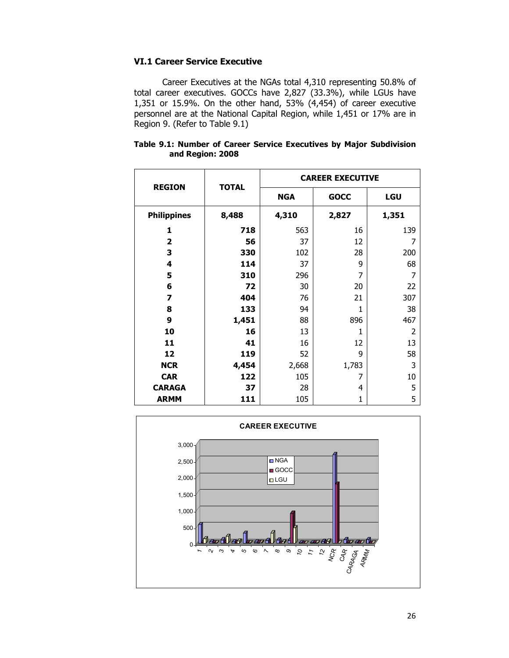## VI.1 Career Service Executive

Career Executives at the NGAs total 4,310 representing 50.8% of total career executives. GOCCs have 2,827 (33.3%), while LGUs have 1,351 or 15.9%. On the other hand, 53% (4,454) of career executive personnel are at the National Capital Region, while 1,451 or 17% are in Region 9. (Refer to Table 9.1)

|                         |              | <b>CAREER EXECUTIVE</b> |             |            |  |  |
|-------------------------|--------------|-------------------------|-------------|------------|--|--|
| <b>REGION</b>           | <b>TOTAL</b> | <b>NGA</b>              | <b>GOCC</b> | <b>LGU</b> |  |  |
| <b>Philippines</b>      | 8,488        | 4,310                   | 2,827       | 1,351      |  |  |
| 1                       | 718          | 563                     | 16          | 139        |  |  |
| $\overline{\mathbf{2}}$ | 56           | 37                      | 12          | 7          |  |  |
| 3                       | 330          | 102                     | 28          | 200        |  |  |
| 4                       | 114          | 37                      | 9           | 68         |  |  |
| 5                       | 310          | 296                     | 7           | 7          |  |  |
| 6                       | 72           | 30                      | 20          | 22         |  |  |
| $\overline{\mathbf{z}}$ | 404          | 76                      | 21          | 307        |  |  |
| 8                       | 133          | 94                      | 1           | 38         |  |  |
| 9                       | 1,451        | 88                      | 896         | 467        |  |  |
| 10                      | 16           | 13                      | 1           | 2          |  |  |
| 11                      | 41           | 16                      | 12          | 13         |  |  |
| 12                      | 119          | 52                      | 9           | 58         |  |  |
| <b>NCR</b>              | 4,454        | 2,668                   | 1,783       | 3          |  |  |
| <b>CAR</b>              | 122          | 105                     | 7           | 10         |  |  |
| <b>CARAGA</b>           | 37           | 28                      | 4           | 5          |  |  |
| <b>ARMM</b>             | 111          | 105                     | 1           | 5          |  |  |

#### Table 9.1: Number of Career Service Executives by Major Subdivision and Region: 2008

![](_page_25_Figure_4.jpeg)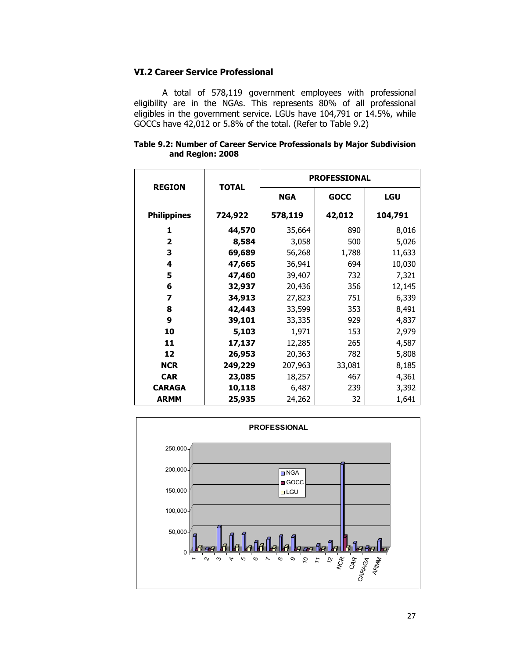## VI.2 Career Service Professional

A total of 578,119 government employees with professional eligibility are in the NGAs. This represents 80% of all professional eligibles in the government service. LGUs have 104,791 or 14.5%, while GOCCs have 42,012 or 5.8% of the total. (Refer to Table 9.2)

|                  | Table 9.2: Number of Career Service Professionals by Major Subdivision |
|------------------|------------------------------------------------------------------------|
| and Region: 2008 |                                                                        |

| <b>REGION</b>           |              | <b>PROFESSIONAL</b> |             |         |  |  |
|-------------------------|--------------|---------------------|-------------|---------|--|--|
|                         | <b>TOTAL</b> | <b>NGA</b>          | <b>GOCC</b> | LGU     |  |  |
| <b>Philippines</b>      | 724,922      | 578,119             | 42,012      | 104,791 |  |  |
| 1                       | 44,570       | 35,664              | 890         | 8,016   |  |  |
| $\overline{\mathbf{2}}$ | 8,584        | 3,058               | 500         | 5,026   |  |  |
| 3                       | 69,689       | 56,268              | 1,788       | 11,633  |  |  |
| 4                       | 47,665       | 36,941              | 694         | 10,030  |  |  |
| 5                       | 47,460       | 39,407              | 732         | 7,321   |  |  |
| 6                       | 32,937       | 20,436              | 356         | 12,145  |  |  |
| 7                       | 34,913       | 27,823              | 751         | 6,339   |  |  |
| 8                       | 42,443       | 33,599              | 353         | 8,491   |  |  |
| 9                       | 39,101       | 33,335              | 929         | 4,837   |  |  |
| 10                      | 5,103        | 1,971               | 153         | 2,979   |  |  |
| 11                      | 17,137       | 12,285              | 265         | 4,587   |  |  |
| 12                      | 26,953       | 20,363              | 782         | 5,808   |  |  |
| <b>NCR</b>              | 249,229      | 207,963             | 33,081      | 8,185   |  |  |
| <b>CAR</b>              | 23,085       | 18,257              | 467         | 4,361   |  |  |
| <b>CARAGA</b>           | 10,118       | 6,487               | 239         | 3,392   |  |  |
| <b>ARMM</b>             | 25,935       | 24,262              | 32          | 1,641   |  |  |

![](_page_26_Figure_4.jpeg)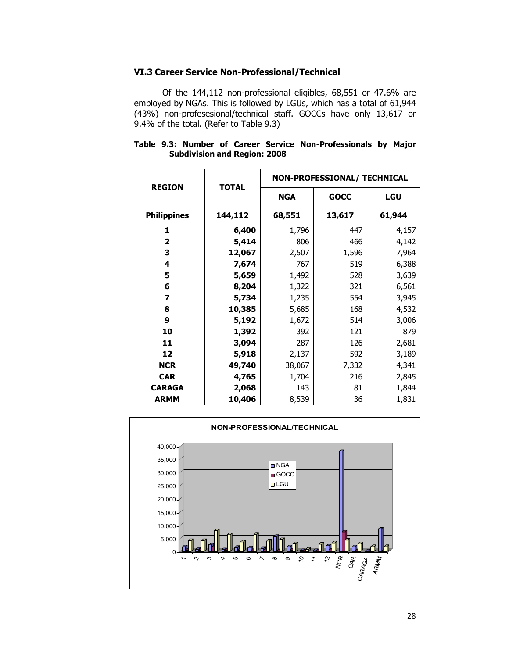### VI.3 Career Service Non-Professional/Technical

Of the 144,112 non-professional eligibles, 68,551 or 47.6% are employed by NGAs. This is followed by LGUs, which has a total of 61,944 (43%) non-profesesional/technical staff. GOCCs have only 13,617 or 9.4% of the total. (Refer to Table 9.3)

| <b>REGION</b>      |              | NON-PROFESSIONAL/ TECHNICAL |             |            |  |  |
|--------------------|--------------|-----------------------------|-------------|------------|--|--|
|                    | <b>TOTAL</b> | <b>NGA</b>                  | <b>GOCC</b> | <b>LGU</b> |  |  |
| <b>Philippines</b> | 144,112      | 68,551                      | 13,617      | 61,944     |  |  |
| 1                  | 6,400        | 1,796                       | 447         | 4,157      |  |  |
| 2                  | 5,414        | 806                         | 466         | 4,142      |  |  |
| 3                  | 12,067       | 2,507                       | 1,596       | 7,964      |  |  |
| 4                  | 7,674        | 767                         | 519         | 6,388      |  |  |
| 5                  | 5,659        | 1,492                       | 528         | 3,639      |  |  |
| 6                  | 8,204        | 1,322                       | 321         | 6,561      |  |  |
| 7                  | 5,734        | 1,235                       | 554         | 3,945      |  |  |
| 8                  | 10,385       | 5,685                       | 168         | 4,532      |  |  |
| 9                  | 5,192        | 1,672                       | 514         | 3,006      |  |  |
| 10                 | 1,392        | 392                         | 121         | 879        |  |  |
| 11                 | 3,094        | 287                         | 126         | 2,681      |  |  |
| 12                 | 5,918        | 2,137                       | 592         | 3,189      |  |  |
| <b>NCR</b>         | 49,740       | 38,067                      | 7,332       | 4,341      |  |  |
| <b>CAR</b>         | 4,765        | 1,704                       | 216         | 2,845      |  |  |
| <b>CARAGA</b>      | 2,068        | 143                         | 81          | 1,844      |  |  |
| <b>ARMM</b>        | 10,406       | 8,539                       | 36          | 1,831      |  |  |

### Table 9.3: Number of Career Service Non-Professionals by Major Subdivision and Region: 2008

![](_page_27_Figure_4.jpeg)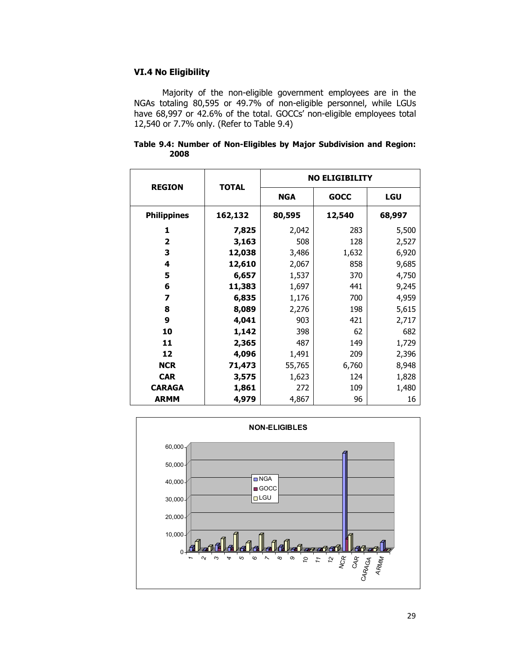# VI.4 No Eligibility

Majority of the non-eligible government employees are in the NGAs totaling 80,595 or 49.7% of non-eligible personnel, while LGUs have 68,997 or 42.6% of the total. GOCCs' non-eligible employees total 12,540 or 7.7% only. (Refer to Table 9.4)

| Table 9.4: Number of Non-Eligibles by Major Subdivision and Region: |  |  |  |  |
|---------------------------------------------------------------------|--|--|--|--|
| 2008                                                                |  |  |  |  |

|                         |              | <b>NO ELIGIBILITY</b> |             |        |  |  |
|-------------------------|--------------|-----------------------|-------------|--------|--|--|
| <b>REGION</b>           | <b>TOTAL</b> | <b>NGA</b>            | <b>GOCC</b> | LGU    |  |  |
| <b>Philippines</b>      | 162,132      | 80,595                | 12,540      | 68,997 |  |  |
| 1                       | 7,825        | 2,042                 | 283         | 5,500  |  |  |
| $\overline{\mathbf{2}}$ | 3,163        | 508                   | 128         | 2,527  |  |  |
| 3                       | 12,038       | 3,486                 | 1,632       | 6,920  |  |  |
| 4                       | 12,610       | 2,067                 | 858         | 9,685  |  |  |
| 5                       | 6,657        | 1,537                 | 370         | 4,750  |  |  |
| 6                       | 11,383       | 1,697                 | 441         | 9,245  |  |  |
| 7                       | 6,835        | 1,176                 | 700         | 4,959  |  |  |
| 8                       | 8,089        | 2,276                 | 198         | 5,615  |  |  |
| 9                       | 4,041        | 903                   | 421         | 2,717  |  |  |
| 10                      | 1,142        | 398                   | 62          | 682    |  |  |
| 11                      | 2,365        | 487                   | 149         | 1,729  |  |  |
| 12                      | 4,096        | 1,491                 | 209         | 2,396  |  |  |
| <b>NCR</b>              | 71,473       | 55,765                | 6,760       | 8,948  |  |  |
| <b>CAR</b>              | 3,575        | 1,623                 | 124         | 1,828  |  |  |
| <b>CARAGA</b>           | 1,861        | 272                   | 109         | 1,480  |  |  |
| <b>ARMM</b>             | 4,979        | 4,867                 | 96          | 16     |  |  |

![](_page_28_Figure_4.jpeg)